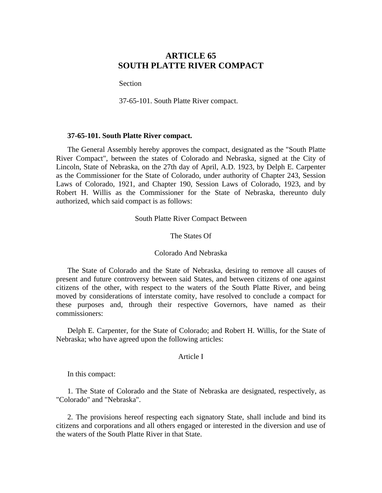# **ARTICLE 65 SOUTH PLATTE RIVER COMPACT**

**Section** 

37-65-101. South Platte River compact.

### **37-65-101. South Platte River compact.**

The General Assembly hereby approves the compact, designated as the "South Platte River Compact", between the states of Colorado and Nebraska, signed at the City of Lincoln, State of Nebraska, on the 27th day of April, A.D. 1923, by Delph E. Carpenter as the Commissioner for the State of Colorado, under authority of Chapter 243, Session Laws of Colorado, 1921, and Chapter 190, Session Laws of Colorado, 1923, and by Robert H. Willis as the Commissioner for the State of Nebraska, thereunto duly authorized, which said compact is as follows:

South Platte River Compact Between

The States Of

## Colorado And Nebraska

The State of Colorado and the State of Nebraska, desiring to remove all causes of present and future controversy between said States, and between citizens of one against citizens of the other, with respect to the waters of the South Platte River, and being moved by considerations of interstate comity, have resolved to conclude a compact for these purposes and, through their respective Governors, have named as their commissioners:

Delph E. Carpenter, for the State of Colorado; and Robert H. Willis, for the State of Nebraska; who have agreed upon the following articles:

### Article I

In this compact:

1. The State of Colorado and the State of Nebraska are designated, respectively, as "Colorado" and "Nebraska".

2. The provisions hereof respecting each signatory State, shall include and bind its citizens and corporations and all others engaged or interested in the diversion and use of the waters of the South Platte River in that State.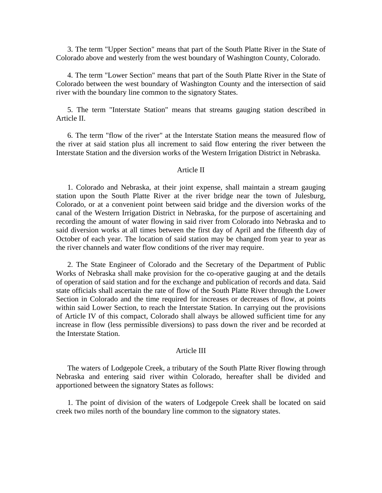3. The term "Upper Section" means that part of the South Platte River in the State of Colorado above and westerly from the west boundary of Washington County, Colorado.

4. The term "Lower Section" means that part of the South Platte River in the State of Colorado between the west boundary of Washington County and the intersection of said river with the boundary line common to the signatory States.

5. The term "Interstate Station" means that streams gauging station described in Article II.

6. The term "flow of the river" at the Interstate Station means the measured flow of the river at said station plus all increment to said flow entering the river between the Interstate Station and the diversion works of the Western Irrigation District in Nebraska.

### Article II

1. Colorado and Nebraska, at their joint expense, shall maintain a stream gauging station upon the South Platte River at the river bridge near the town of Julesburg, Colorado, or at a convenient point between said bridge and the diversion works of the canal of the Western Irrigation District in Nebraska, for the purpose of ascertaining and recording the amount of water flowing in said river from Colorado into Nebraska and to said diversion works at all times between the first day of April and the fifteenth day of October of each year. The location of said station may be changed from year to year as the river channels and water flow conditions of the river may require.

2. The State Engineer of Colorado and the Secretary of the Department of Public Works of Nebraska shall make provision for the co-operative gauging at and the details of operation of said station and for the exchange and publication of records and data. Said state officials shall ascertain the rate of flow of the South Platte River through the Lower Section in Colorado and the time required for increases or decreases of flow, at points within said Lower Section, to reach the Interstate Station. In carrying out the provisions of Article IV of this compact, Colorado shall always be allowed sufficient time for any increase in flow (less permissible diversions) to pass down the river and be recorded at the Interstate Station.

#### Article III

The waters of Lodgepole Creek, a tributary of the South Platte River flowing through Nebraska and entering said river within Colorado, hereafter shall be divided and apportioned between the signatory States as follows:

1. The point of division of the waters of Lodgepole Creek shall be located on said creek two miles north of the boundary line common to the signatory states.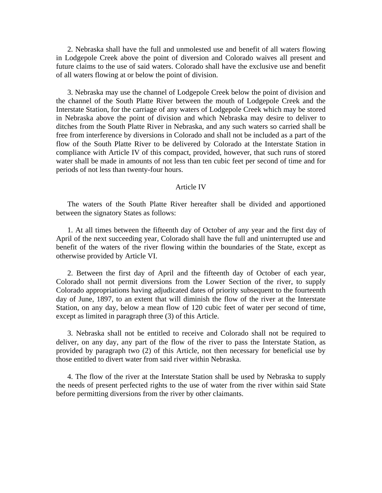2. Nebraska shall have the full and unmolested use and benefit of all waters flowing in Lodgepole Creek above the point of diversion and Colorado waives all present and future claims to the use of said waters. Colorado shall have the exclusive use and benefit of all waters flowing at or below the point of division.

3. Nebraska may use the channel of Lodgepole Creek below the point of division and the channel of the South Platte River between the mouth of Lodgepole Creek and the Interstate Station, for the carriage of any waters of Lodgepole Creek which may be stored in Nebraska above the point of division and which Nebraska may desire to deliver to ditches from the South Platte River in Nebraska, and any such waters so carried shall be free from interference by diversions in Colorado and shall not be included as a part of the flow of the South Platte River to be delivered by Colorado at the Interstate Station in compliance with Article IV of this compact, provided, however, that such runs of stored water shall be made in amounts of not less than ten cubic feet per second of time and for periods of not less than twenty-four hours.

#### Article IV

The waters of the South Platte River hereafter shall be divided and apportioned between the signatory States as follows:

1. At all times between the fifteenth day of October of any year and the first day of April of the next succeeding year, Colorado shall have the full and uninterrupted use and benefit of the waters of the river flowing within the boundaries of the State, except as otherwise provided by Article VI.

2. Between the first day of April and the fifteenth day of October of each year, Colorado shall not permit diversions from the Lower Section of the river, to supply Colorado appropriations having adjudicated dates of priority subsequent to the fourteenth day of June, 1897, to an extent that will diminish the flow of the river at the Interstate Station, on any day, below a mean flow of 120 cubic feet of water per second of time, except as limited in paragraph three (3) of this Article.

3. Nebraska shall not be entitled to receive and Colorado shall not be required to deliver, on any day, any part of the flow of the river to pass the Interstate Station, as provided by paragraph two (2) of this Article, not then necessary for beneficial use by those entitled to divert water from said river within Nebraska.

4. The flow of the river at the Interstate Station shall be used by Nebraska to supply the needs of present perfected rights to the use of water from the river within said State before permitting diversions from the river by other claimants.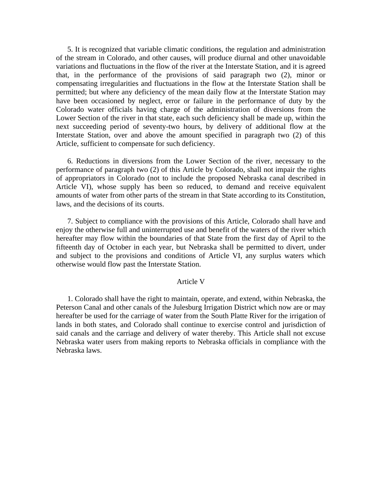5. It is recognized that variable climatic conditions, the regulation and administration of the stream in Colorado, and other causes, will produce diurnal and other unavoidable variations and fluctuations in the flow of the river at the Interstate Station, and it is agreed that, in the performance of the provisions of said paragraph two (2), minor or compensating irregularities and fluctuations in the flow at the Interstate Station shall be permitted; but where any deficiency of the mean daily flow at the Interstate Station may have been occasioned by neglect, error or failure in the performance of duty by the Colorado water officials having charge of the administration of diversions from the Lower Section of the river in that state, each such deficiency shall be made up, within the next succeeding period of seventy-two hours, by delivery of additional flow at the Interstate Station, over and above the amount specified in paragraph two (2) of this Article, sufficient to compensate for such deficiency.

6. Reductions in diversions from the Lower Section of the river, necessary to the performance of paragraph two (2) of this Article by Colorado, shall not impair the rights of appropriators in Colorado (not to include the proposed Nebraska canal described in Article VI), whose supply has been so reduced, to demand and receive equivalent amounts of water from other parts of the stream in that State according to its Constitution, laws, and the decisions of its courts.

7. Subject to compliance with the provisions of this Article, Colorado shall have and enjoy the otherwise full and uninterrupted use and benefit of the waters of the river which hereafter may flow within the boundaries of that State from the first day of April to the fifteenth day of October in each year, but Nebraska shall be permitted to divert, under and subject to the provisions and conditions of Article VI, any surplus waters which otherwise would flow past the Interstate Station.

#### Article V

1. Colorado shall have the right to maintain, operate, and extend, within Nebraska, the Peterson Canal and other canals of the Julesburg Irrigation District which now are or may hereafter be used for the carriage of water from the South Platte River for the irrigation of lands in both states, and Colorado shall continue to exercise control and jurisdiction of said canals and the carriage and delivery of water thereby. This Article shall not excuse Nebraska water users from making reports to Nebraska officials in compliance with the Nebraska laws.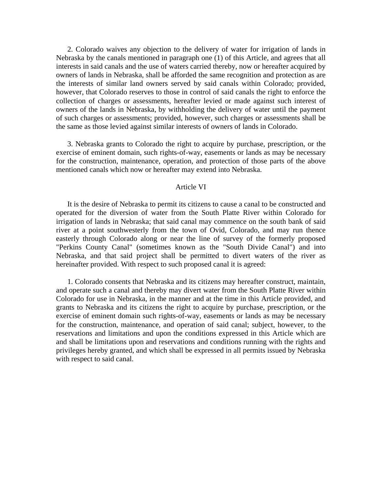2. Colorado waives any objection to the delivery of water for irrigation of lands in Nebraska by the canals mentioned in paragraph one (1) of this Article, and agrees that all interests in said canals and the use of waters carried thereby, now or hereafter acquired by owners of lands in Nebraska, shall be afforded the same recognition and protection as are the interests of similar land owners served by said canals within Colorado; provided, however, that Colorado reserves to those in control of said canals the right to enforce the collection of charges or assessments, hereafter levied or made against such interest of owners of the lands in Nebraska, by withholding the delivery of water until the payment of such charges or assessments; provided, however, such charges or assessments shall be the same as those levied against similar interests of owners of lands in Colorado.

3. Nebraska grants to Colorado the right to acquire by purchase, prescription, or the exercise of eminent domain, such rights-of-way, easements or lands as may be necessary for the construction, maintenance, operation, and protection of those parts of the above mentioned canals which now or hereafter may extend into Nebraska.

#### Article VI

It is the desire of Nebraska to permit its citizens to cause a canal to be constructed and operated for the diversion of water from the South Platte River within Colorado for irrigation of lands in Nebraska; that said canal may commence on the south bank of said river at a point southwesterly from the town of Ovid, Colorado, and may run thence easterly through Colorado along or near the line of survey of the formerly proposed "Perkins County Canal" (sometimes known as the "South Divide Canal") and into Nebraska, and that said project shall be permitted to divert waters of the river as hereinafter provided. With respect to such proposed canal it is agreed:

1. Colorado consents that Nebraska and its citizens may hereafter construct, maintain, and operate such a canal and thereby may divert water from the South Platte River within Colorado for use in Nebraska, in the manner and at the time in this Article provided, and grants to Nebraska and its citizens the right to acquire by purchase, prescription, or the exercise of eminent domain such rights-of-way, easements or lands as may be necessary for the construction, maintenance, and operation of said canal; subject, however, to the reservations and limitations and upon the conditions expressed in this Article which are and shall be limitations upon and reservations and conditions running with the rights and privileges hereby granted, and which shall be expressed in all permits issued by Nebraska with respect to said canal.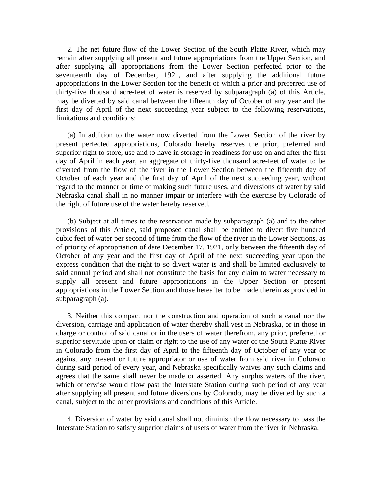2. The net future flow of the Lower Section of the South Platte River, which may remain after supplying all present and future appropriations from the Upper Section, and after supplying all appropriations from the Lower Section perfected prior to the seventeenth day of December, 1921, and after supplying the additional future appropriations in the Lower Section for the benefit of which a prior and preferred use of thirty-five thousand acre-feet of water is reserved by subparagraph (a) of this Article, may be diverted by said canal between the fifteenth day of October of any year and the first day of April of the next succeeding year subject to the following reservations, limitations and conditions:

(a) In addition to the water now diverted from the Lower Section of the river by present perfected appropriations, Colorado hereby reserves the prior, preferred and superior right to store, use and to have in storage in readiness for use on and after the first day of April in each year, an aggregate of thirty-five thousand acre-feet of water to be diverted from the flow of the river in the Lower Section between the fifteenth day of October of each year and the first day of April of the next succeeding year, without regard to the manner or time of making such future uses, and diversions of water by said Nebraska canal shall in no manner impair or interfere with the exercise by Colorado of the right of future use of the water hereby reserved.

(b) Subject at all times to the reservation made by subparagraph (a) and to the other provisions of this Article, said proposed canal shall be entitled to divert five hundred cubic feet of water per second of time from the flow of the river in the Lower Sections, as of priority of appropriation of date December 17, 1921, only between the fifteenth day of October of any year and the first day of April of the next succeeding year upon the express condition that the right to so divert water is and shall be limited exclusively to said annual period and shall not constitute the basis for any claim to water necessary to supply all present and future appropriations in the Upper Section or present appropriations in the Lower Section and those hereafter to be made therein as provided in subparagraph (a).

3. Neither this compact nor the construction and operation of such a canal nor the diversion, carriage and application of water thereby shall vest in Nebraska, or in those in charge or control of said canal or in the users of water therefrom, any prior, preferred or superior servitude upon or claim or right to the use of any water of the South Platte River in Colorado from the first day of April to the fifteenth day of October of any year or against any present or future appropriator or use of water from said river in Colorado during said period of every year, and Nebraska specifically waives any such claims and agrees that the same shall never be made or asserted. Any surplus waters of the river, which otherwise would flow past the Interstate Station during such period of any year after supplying all present and future diversions by Colorado, may be diverted by such a canal, subject to the other provisions and conditions of this Article.

4. Diversion of water by said canal shall not diminish the flow necessary to pass the Interstate Station to satisfy superior claims of users of water from the river in Nebraska.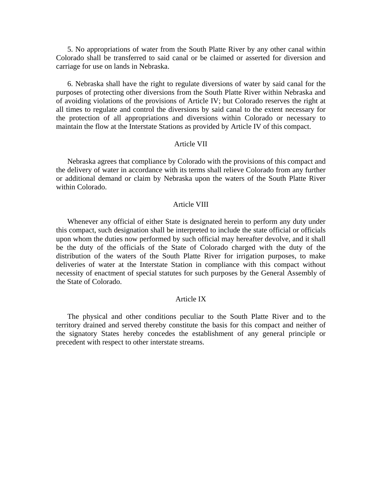5. No appropriations of water from the South Platte River by any other canal within Colorado shall be transferred to said canal or be claimed or asserted for diversion and carriage for use on lands in Nebraska.

6. Nebraska shall have the right to regulate diversions of water by said canal for the purposes of protecting other diversions from the South Platte River within Nebraska and of avoiding violations of the provisions of Article IV; but Colorado reserves the right at all times to regulate and control the diversions by said canal to the extent necessary for the protection of all appropriations and diversions within Colorado or necessary to maintain the flow at the Interstate Stations as provided by Article IV of this compact.

## Article VII

Nebraska agrees that compliance by Colorado with the provisions of this compact and the delivery of water in accordance with its terms shall relieve Colorado from any further or additional demand or claim by Nebraska upon the waters of the South Platte River within Colorado.

#### Article VIII

Whenever any official of either State is designated herein to perform any duty under this compact, such designation shall be interpreted to include the state official or officials upon whom the duties now performed by such official may hereafter devolve, and it shall be the duty of the officials of the State of Colorado charged with the duty of the distribution of the waters of the South Platte River for irrigation purposes, to make deliveries of water at the Interstate Station in compliance with this compact without necessity of enactment of special statutes for such purposes by the General Assembly of the State of Colorado.

## Article IX

The physical and other conditions peculiar to the South Platte River and to the territory drained and served thereby constitute the basis for this compact and neither of the signatory States hereby concedes the establishment of any general principle or precedent with respect to other interstate streams.